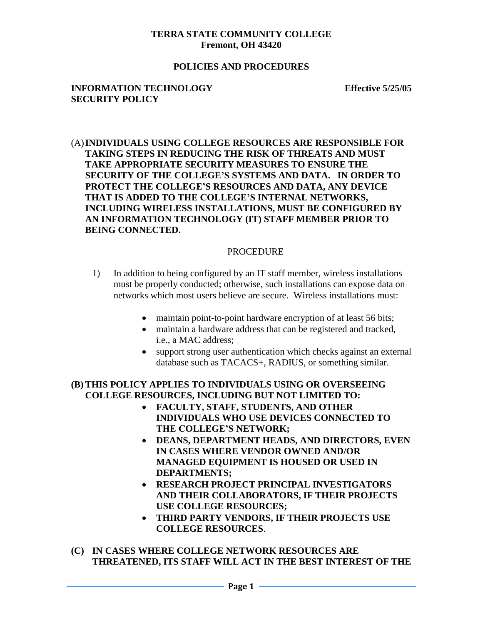#### **TERRA STATE COMMUNITY COLLEGE Fremont, OH 43420**

#### **POLICIES AND PROCEDURES**

#### **INFORMATION TECHNOLOGY Effective 5/25/05 SECURITY POLICY**

## (A)**INDIVIDUALS USING COLLEGE RESOURCES ARE RESPONSIBLE FOR TAKING STEPS IN REDUCING THE RISK OF THREATS AND MUST TAKE APPROPRIATE SECURITY MEASURES TO ENSURE THE SECURITY OF THE COLLEGE'S SYSTEMS AND DATA. IN ORDER TO PROTECT THE COLLEGE'S RESOURCES AND DATA, ANY DEVICE THAT IS ADDED TO THE COLLEGE'S INTERNAL NETWORKS, INCLUDING WIRELESS INSTALLATIONS, MUST BE CONFIGURED BY AN INFORMATION TECHNOLOGY (IT) STAFF MEMBER PRIOR TO BEING CONNECTED.**

## PROCEDURE

- 1) In addition to being configured by an IT staff member, wireless installations must be properly conducted; otherwise, such installations can expose data on networks which most users believe are secure. Wireless installations must:
	- maintain point-to-point hardware encryption of at least 56 bits;
	- maintain a hardware address that can be registered and tracked, i.e., a MAC address;
	- support strong user authentication which checks against an external database such as TACACS+, RADIUS, or something similar.

# **(B)THIS POLICY APPLIES TO INDIVIDUALS USING OR OVERSEEING COLLEGE RESOURCES, INCLUDING BUT NOT LIMITED TO:**

- **FACULTY, STAFF, STUDENTS, AND OTHER INDIVIDUALS WHO USE DEVICES CONNECTED TO THE COLLEGE'S NETWORK;**
- **DEANS, DEPARTMENT HEADS, AND DIRECTORS, EVEN IN CASES WHERE VENDOR OWNED AND/OR MANAGED EQUIPMENT IS HOUSED OR USED IN DEPARTMENTS;**
- **RESEARCH PROJECT PRINCIPAL INVESTIGATORS AND THEIR COLLABORATORS, IF THEIR PROJECTS USE COLLEGE RESOURCES;**
- **THIRD PARTY VENDORS, IF THEIR PROJECTS USE COLLEGE RESOURCES**.
- **(C) IN CASES WHERE COLLEGE NETWORK RESOURCES ARE THREATENED, ITS STAFF WILL ACT IN THE BEST INTEREST OF THE**